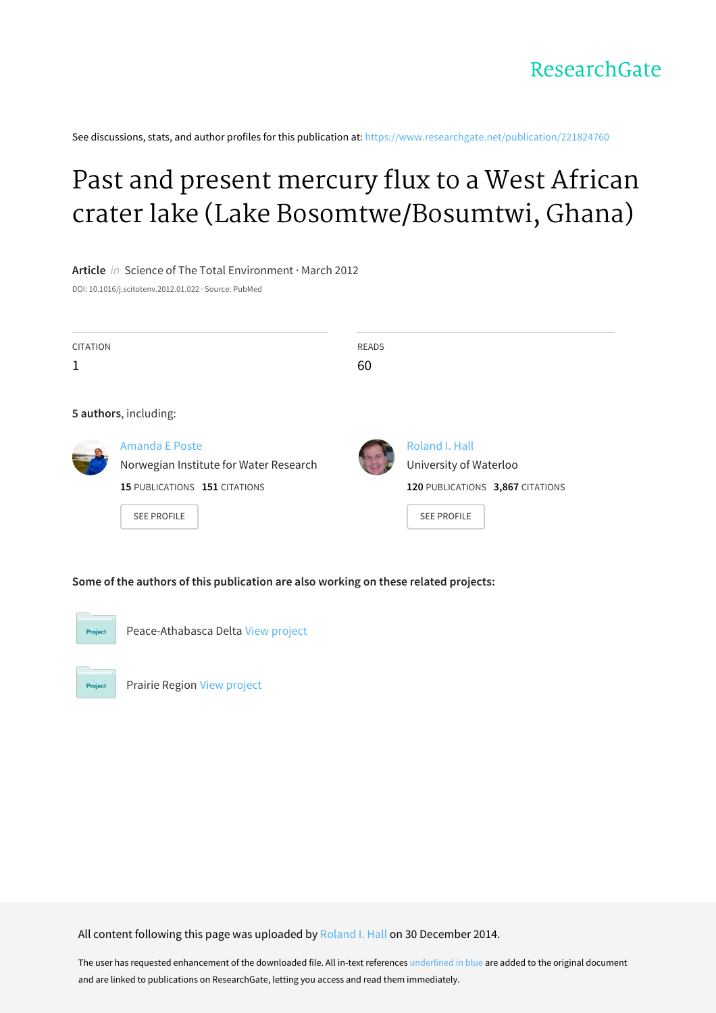See discussions, stats, and author profiles for this publication at: [https://www.researchgate.net/publication/221824760](https://www.researchgate.net/publication/221824760_Past_and_present_mercury_flux_to_a_West_African_crater_lake_Lake_BosomtweBosumtwi_Ghana?enrichId=rgreq-ac2ae31127a2e21ca014b82c3f1b75cb-XXX&enrichSource=Y292ZXJQYWdlOzIyMTgyNDc2MDtBUzoxODAxNDAyODE3MDQ0NDlAMTQxOTk2MDE5ODMyMQ%3D%3D&el=1_x_2&_esc=publicationCoverPdf)

# Past and present mercury flux to a West African crater lake (Lake [Bosomtwe/Bosumtwi,](https://www.researchgate.net/publication/221824760_Past_and_present_mercury_flux_to_a_West_African_crater_lake_Lake_BosomtweBosumtwi_Ghana?enrichId=rgreq-ac2ae31127a2e21ca014b82c3f1b75cb-XXX&enrichSource=Y292ZXJQYWdlOzIyMTgyNDc2MDtBUzoxODAxNDAyODE3MDQ0NDlAMTQxOTk2MDE5ODMyMQ%3D%3D&el=1_x_3&_esc=publicationCoverPdf) Ghana)

**Article** in Science of The Total Environment · March 2012

DOI: 10.1016/j.scitotenv.2012.01.022 · Source: PubMed

| <b>CITATION</b> |                                                          | <b>READS</b> |                                          |
|-----------------|----------------------------------------------------------|--------------|------------------------------------------|
| 1               |                                                          | 60           |                                          |
|                 |                                                          |              |                                          |
|                 | 5 authors, including:                                    |              |                                          |
|                 | Amanda E Poste<br>Norwegian Institute for Water Research |              | Roland I. Hall<br>University of Waterloo |
|                 | 15 PUBLICATIONS 151 CITATIONS                            |              | 120 PUBLICATIONS 3,867 CITATIONS         |
|                 | <b>SEE PROFILE</b>                                       |              | <b>SEE PROFILE</b>                       |
|                 |                                                          |              |                                          |

#### **Some of the authors of this publication are also working on these related projects:**



Peace-Athabasca Delta View [project](https://www.researchgate.net/project/Peace-Athabasca-Delta?enrichId=rgreq-ac2ae31127a2e21ca014b82c3f1b75cb-XXX&enrichSource=Y292ZXJQYWdlOzIyMTgyNDc2MDtBUzoxODAxNDAyODE3MDQ0NDlAMTQxOTk2MDE5ODMyMQ%3D%3D&el=1_x_9&_esc=publicationCoverPdf)

Project

Prairie Region View [project](https://www.researchgate.net/project/Prairie-Region?enrichId=rgreq-ac2ae31127a2e21ca014b82c3f1b75cb-XXX&enrichSource=Y292ZXJQYWdlOzIyMTgyNDc2MDtBUzoxODAxNDAyODE3MDQ0NDlAMTQxOTk2MDE5ODMyMQ%3D%3D&el=1_x_9&_esc=publicationCoverPdf)

All content following this page was uploaded by [Roland](https://www.researchgate.net/profile/Roland_Hall?enrichId=rgreq-ac2ae31127a2e21ca014b82c3f1b75cb-XXX&enrichSource=Y292ZXJQYWdlOzIyMTgyNDc2MDtBUzoxODAxNDAyODE3MDQ0NDlAMTQxOTk2MDE5ODMyMQ%3D%3D&el=1_x_10&_esc=publicationCoverPdf) I. Hall on 30 December 2014.

The user has requested enhancement of the downloaded file. All in-text references underlined in blue are added to the original document and are linked to publications on ResearchGate, letting you access and read them immediately.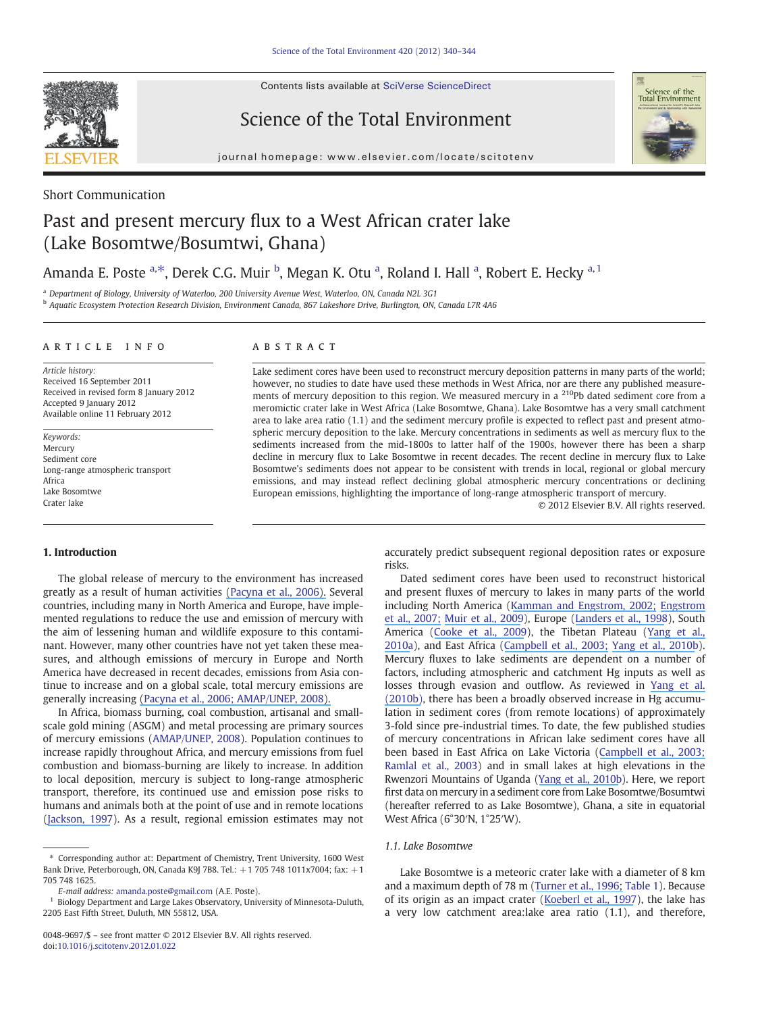Contents lists available at SciVerse ScienceDirect



Science of the Total Environment



journal homepage: www.elsevier.com/locate/scitotenv

### Short Communication

## Past and present mercury flux to a West African crater lake (Lake Bosomtwe/Bosumtwi, Ghana)

### Amanda E. Poste <sup>a,\*</sup>, Derek C.G. Muir <sup>b</sup>, Megan K. Otu <sup>a</sup>, Roland I. Hall <sup>a</sup>, Robert E. Hecky <sup>a, 1</sup>

<sup>a</sup> Department of Biology, University of Waterloo, 200 University Avenue West, Waterloo, ON, Canada N2L 3G1

<sup>b</sup> Aquatic Ecosystem Protection Research Division, Environment Canada, 867 Lakeshore Drive, Burlington, ON, Canada L7R 4A6

#### ARTICLE INFO ABSTRACT

Article history: Received 16 September 2011 Received in revised form 8 January 2012 Accepted 9 January 2012 Available online 11 February 2012

Keywords: Mercury Sediment core Long-range atmospheric transport Africa Lake Bosomtwe Crater lake

Lake sediment cores have been used to reconstruct mercury deposition patterns in many parts of the world; however, no studies to date have used these methods in West Africa, nor are there any published measurements of mercury deposition to this region. We measured mercury in a 210Pb dated sediment core from a meromictic crater lake in West Africa (Lake Bosomtwe, Ghana). Lake Bosomtwe has a very small catchment area to lake area ratio (1.1) and the sediment mercury profile is expected to reflect past and present atmospheric mercury deposition to the lake. Mercury concentrations in sediments as well as mercury flux to the sediments increased from the mid-1800s to latter half of the 1900s, however there has been a sharp decline in mercury flux to Lake Bosomtwe in recent decades. The recent decline in mercury flux to Lake Bosomtwe's sediments does not appear to be consistent with trends in local, regional or global mercury emissions, and may instead reflect declining global atmospheric mercury concentrations or declining European emissions, highlighting the importance of long-range atmospheric transport of mercury.

© 2012 Elsevier B.V. All rights reserved.

#### 1. Introduction

The global release of mercury to the environment has increased greatly as a result of human activities [\(P](https://www.researchgate.net/publication/222167794_Global_anthropogenic_mercury_emission_inventory_for_2000_Atmospheric_Environment_40_4048-4063?el=1_x_8&enrichId=rgreq-ac2ae31127a2e21ca014b82c3f1b75cb-XXX&enrichSource=Y292ZXJQYWdlOzIyMTgyNDc2MDtBUzoxODAxNDAyODE3MDQ0NDlAMTQxOTk2MDE5ODMyMQ==)[acyna et al., 200](#page-5-0)[6\).](https://www.researchgate.net/publication/222167794_Global_anthropogenic_mercury_emission_inventory_for_2000_Atmospheric_Environment_40_4048-4063?el=1_x_8&enrichId=rgreq-ac2ae31127a2e21ca014b82c3f1b75cb-XXX&enrichSource=Y292ZXJQYWdlOzIyMTgyNDc2MDtBUzoxODAxNDAyODE3MDQ0NDlAMTQxOTk2MDE5ODMyMQ==) Several countries, including many in North America and Europe, have implemented regulations to reduce the use and emission of mercury with the aim of lessening human and wildlife exposure to this contaminant. However, many other countries have not yet taken these measures, and although emissions of mercury in Europe and North America have decreased in recent decades, emissions from Asia continue to increase and on a global scale, total mercury emissions are generally increasing [\(P](https://www.researchgate.net/publication/222167794_Global_anthropogenic_mercury_emission_inventory_for_2000_Atmospheric_Environment_40_4048-4063?el=1_x_8&enrichId=rgreq-ac2ae31127a2e21ca014b82c3f1b75cb-XXX&enrichSource=Y292ZXJQYWdlOzIyMTgyNDc2MDtBUzoxODAxNDAyODE3MDQ0NDlAMTQxOTk2MDE5ODMyMQ==)[acyna et al., 2006; AMAP/UNEP, 2008](#page-5-0)[\).](https://www.researchgate.net/publication/222167794_Global_anthropogenic_mercury_emission_inventory_for_2000_Atmospheric_Environment_40_4048-4063?el=1_x_8&enrichId=rgreq-ac2ae31127a2e21ca014b82c3f1b75cb-XXX&enrichSource=Y292ZXJQYWdlOzIyMTgyNDc2MDtBUzoxODAxNDAyODE3MDQ0NDlAMTQxOTk2MDE5ODMyMQ==)

In Africa, biomass burning, coal combustion, artisanal and smallscale gold mining (ASGM) and metal processing are primary sources of mercury emissions ([AMAP/UNEP, 2008](#page-5-0)). Population continues to increase rapidly throughout Africa, and mercury emissions from fuel combustion and biomass-burning are likely to increase. In addition to local deposition, mercury is subject to long-range atmospheric transport, therefore, its continued use and emission pose risks to humans and animals both at the point of use and in remote locations [\(Jackson, 1997\)](#page-5-0). As a result, regional emission estimates may not accurately predict subsequent regional deposition rates or exposure risks.

Dated sediment cores have been used to reconstruct historical and present fluxes of mercury to lakes in many parts of the world including North America ([K](#page-5-0)[amman](https://www.researchgate.net/publication/248343121_Historical_and_present_fluxes_of_mercury_to_Vermont_and_New_Hampshire_lakes_inferred_from_210Pb_dated_sediment_cores?el=1_x_8&enrichId=rgreq-ac2ae31127a2e21ca014b82c3f1b75cb-XXX&enrichSource=Y292ZXJQYWdlOzIyMTgyNDc2MDtBUzoxODAxNDAyODE3MDQ0NDlAMTQxOTk2MDE5ODMyMQ==)[and](https://www.researchgate.net/publication/248343121_Historical_and_present_fluxes_of_mercury_to_Vermont_and_New_Hampshire_lakes_inferred_from_210Pb_dated_sediment_cores?el=1_x_8&enrichId=rgreq-ac2ae31127a2e21ca014b82c3f1b75cb-XXX&enrichSource=Y292ZXJQYWdlOzIyMTgyNDc2MDtBUzoxODAxNDAyODE3MDQ0NDlAMTQxOTk2MDE5ODMyMQ==)[Engstrom,](https://www.researchgate.net/publication/248343121_Historical_and_present_fluxes_of_mercury_to_Vermont_and_New_Hampshire_lakes_inferred_from_210Pb_dated_sediment_cores?el=1_x_8&enrichId=rgreq-ac2ae31127a2e21ca014b82c3f1b75cb-XXX&enrichSource=Y292ZXJQYWdlOzIyMTgyNDc2MDtBUzoxODAxNDAyODE3MDQ0NDlAMTQxOTk2MDE5ODMyMQ==)[2002](https://www.researchgate.net/publication/248343121_Historical_and_present_fluxes_of_mercury_to_Vermont_and_New_Hampshire_lakes_inferred_from_210Pb_dated_sediment_cores?el=1_x_8&enrichId=rgreq-ac2ae31127a2e21ca014b82c3f1b75cb-XXX&enrichSource=Y292ZXJQYWdlOzIyMTgyNDc2MDtBUzoxODAxNDAyODE3MDQ0NDlAMTQxOTk2MDE5ODMyMQ==)[;](#page-5-0) [Engstrom](https://www.researchgate.net/publication/254475043_History_of_mercury_inputs_to_Minnesota_lakes_Influences_of_watershed_disturbance_and_localized_atmospheric_deposition?el=1_x_8&enrichId=rgreq-ac2ae31127a2e21ca014b82c3f1b75cb-XXX&enrichSource=Y292ZXJQYWdlOzIyMTgyNDc2MDtBUzoxODAxNDAyODE3MDQ0NDlAMTQxOTk2MDE5ODMyMQ==) [et al., 2007; Muir et al., 2009](#page-5-0)), Europe ([Landers et al., 1998](#page-5-0)), South America [\(C](#page-5-0)[ooke](https://www.researchgate.net/publication/24436442_Over_three_millennia_of_mercury_pollution_in_the_Peruvian_Andes?el=1_x_8&enrichId=rgreq-ac2ae31127a2e21ca014b82c3f1b75cb-XXX&enrichSource=Y292ZXJQYWdlOzIyMTgyNDc2MDtBUzoxODAxNDAyODE3MDQ0NDlAMTQxOTk2MDE5ODMyMQ==)[et](https://www.researchgate.net/publication/42607865_Historical_Reconstruction_of_Mercury_Pollution_Across_the_Tibetan_Plateau_Using_Lake_Sediments?el=1_x_8&enrichId=rgreq-ac2ae31127a2e21ca014b82c3f1b75cb-XXX&enrichSource=Y292ZXJQYWdlOzIyMTgyNDc2MDtBUzoxODAxNDAyODE3MDQ0NDlAMTQxOTk2MDE5ODMyMQ==) [al.,](https://www.researchgate.net/publication/42607865_Historical_Reconstruction_of_Mercury_Pollution_Across_the_Tibetan_Plateau_Using_Lake_Sediments?el=1_x_8&enrichId=rgreq-ac2ae31127a2e21ca014b82c3f1b75cb-XXX&enrichSource=Y292ZXJQYWdlOzIyMTgyNDc2MDtBUzoxODAxNDAyODE3MDQ0NDlAMTQxOTk2MDE5ODMyMQ==) [200](https://www.researchgate.net/publication/24436442_Over_three_millennia_of_mercury_pollution_in_the_Peruvian_Andes?el=1_x_8&enrichId=rgreq-ac2ae31127a2e21ca014b82c3f1b75cb-XXX&enrichSource=Y292ZXJQYWdlOzIyMTgyNDc2MDtBUzoxODAxNDAyODE3MDQ0NDlAMTQxOTk2MDE5ODMyMQ==)[9\)](#page-5-0), the Tibetan Plateau ([Yang](https://www.researchgate.net/publication/42607865_Historical_Reconstruction_of_Mercury_Pollution_Across_the_Tibetan_Plateau_Using_Lake_Sediments?el=1_x_8&enrichId=rgreq-ac2ae31127a2e21ca014b82c3f1b75cb-XXX&enrichSource=Y292ZXJQYWdlOzIyMTgyNDc2MDtBUzoxODAxNDAyODE3MDQ0NDlAMTQxOTk2MDE5ODMyMQ==) et al., [2010a](#page-5-0)), and East Africa [\(Campbell et al., 2003; Yang et al., 2010b](#page-5-0)). Mercury fluxes to lake sediments are dependent on a number of factors, including atmospheric and catchment Hg inputs as well as losses through evasion and outflow. As reviewed in [Yang et al.](#page-5-0) [\(2010b\),](#page-5-0) there has been a broadly observed increase in Hg accumulation in sediment cores (from remote locations) of approximately 3-fold since pre-industrial times. To date, the few published studies of mercury concentrations in African lake sediment cores have all been based in East Africa on Lake Victoria ([Campbell](https://www.researchgate.net/publication/229033081_Variation_and_distribution_of_total_mercury_in_water_sediment_and_soil_from_northern_Lake_Victoria_East_Africa?el=1_x_8&enrichId=rgreq-ac2ae31127a2e21ca014b82c3f1b75cb-XXX&enrichSource=Y292ZXJQYWdlOzIyMTgyNDc2MDtBUzoxODAxNDAyODE3MDQ0NDlAMTQxOTk2MDE5ODMyMQ==)[et](https://www.researchgate.net/publication/229033081_Variation_and_distribution_of_total_mercury_in_water_sediment_and_soil_from_northern_Lake_Victoria_East_Africa?el=1_x_8&enrichId=rgreq-ac2ae31127a2e21ca014b82c3f1b75cb-XXX&enrichSource=Y292ZXJQYWdlOzIyMTgyNDc2MDtBUzoxODAxNDAyODE3MDQ0NDlAMTQxOTk2MDE5ODMyMQ==)[al.,](https://www.researchgate.net/publication/229033081_Variation_and_distribution_of_total_mercury_in_water_sediment_and_soil_from_northern_Lake_Victoria_East_Africa?el=1_x_8&enrichId=rgreq-ac2ae31127a2e21ca014b82c3f1b75cb-XXX&enrichSource=Y292ZXJQYWdlOzIyMTgyNDc2MDtBUzoxODAxNDAyODE3MDQ0NDlAMTQxOTk2MDE5ODMyMQ==)[2003;](https://www.researchgate.net/publication/229033081_Variation_and_distribution_of_total_mercury_in_water_sediment_and_soil_from_northern_Lake_Victoria_East_Africa?el=1_x_8&enrichId=rgreq-ac2ae31127a2e21ca014b82c3f1b75cb-XXX&enrichSource=Y292ZXJQYWdlOzIyMTgyNDc2MDtBUzoxODAxNDAyODE3MDQ0NDlAMTQxOTk2MDE5ODMyMQ==) [Ramlal et al., 2003](#page-5-0)) and in small lakes at high elevations in the Rwenzori Mountains of Uganda [\(Y](#page-5-0)[ang](https://www.researchgate.net/publication/45493045_Recent_Changes_in_Atmospheric_Mercury_Deposition_Recorded_in_the_Sediments_of_Remote_Equatorial_Lakes_in_the_Rwenzori_Mountains_Uganda?el=1_x_8&enrichId=rgreq-ac2ae31127a2e21ca014b82c3f1b75cb-XXX&enrichSource=Y292ZXJQYWdlOzIyMTgyNDc2MDtBUzoxODAxNDAyODE3MDQ0NDlAMTQxOTk2MDE5ODMyMQ==)[et](https://www.researchgate.net/publication/45493045_Recent_Changes_in_Atmospheric_Mercury_Deposition_Recorded_in_the_Sediments_of_Remote_Equatorial_Lakes_in_the_Rwenzori_Mountains_Uganda?el=1_x_8&enrichId=rgreq-ac2ae31127a2e21ca014b82c3f1b75cb-XXX&enrichSource=Y292ZXJQYWdlOzIyMTgyNDc2MDtBUzoxODAxNDAyODE3MDQ0NDlAMTQxOTk2MDE5ODMyMQ==)[al.,](https://www.researchgate.net/publication/45493045_Recent_Changes_in_Atmospheric_Mercury_Deposition_Recorded_in_the_Sediments_of_Remote_Equatorial_Lakes_in_the_Rwenzori_Mountains_Uganda?el=1_x_8&enrichId=rgreq-ac2ae31127a2e21ca014b82c3f1b75cb-XXX&enrichSource=Y292ZXJQYWdlOzIyMTgyNDc2MDtBUzoxODAxNDAyODE3MDQ0NDlAMTQxOTk2MDE5ODMyMQ==)[2010](https://www.researchgate.net/publication/45493045_Recent_Changes_in_Atmospheric_Mercury_Deposition_Recorded_in_the_Sediments_of_Remote_Equatorial_Lakes_in_the_Rwenzori_Mountains_Uganda?el=1_x_8&enrichId=rgreq-ac2ae31127a2e21ca014b82c3f1b75cb-XXX&enrichSource=Y292ZXJQYWdlOzIyMTgyNDc2MDtBUzoxODAxNDAyODE3MDQ0NDlAMTQxOTk2MDE5ODMyMQ==)[b](#page-5-0)). Here, we report first data on mercury in a sediment core from Lake Bosomtwe/Bosumtwi (hereafter referred to as Lake Bosomtwe), Ghana, a site in equatorial West Africa (6°30′N, 1°25′W).

#### 1.1. Lake Bosomtwe

Lake Bosomtwe is a meteoric crater lake with a diameter of 8 km and a maximum depth of 78 m [\(Turner et al., 199](#page-5-0)[6;](https://www.researchgate.net/publication/245099723_The_hydrology_of_Lake_Bosumtwi_a_climate-sensitive_lake_in_Ghana_West_Africa?el=1_x_8&enrichId=rgreq-ac2ae31127a2e21ca014b82c3f1b75cb-XXX&enrichSource=Y292ZXJQYWdlOzIyMTgyNDc2MDtBUzoxODAxNDAyODE3MDQ0NDlAMTQxOTk2MDE5ODMyMQ==) [Table 1](#page-2-0)). Because of its origin as an impact crater ([Koeberl et al., 1997](#page-5-0)), the lake has a very low catchment area:lake area ratio (1.1), and therefore,

<sup>⁎</sup> Corresponding author at: Department of Chemistry, Trent University, 1600 West Bank Drive, Peterborough, ON, Canada K9J 7B8. Tel.: +1 705 748 1011x7004; fax: +1 705 748 1625.

E-mail address: [amanda.poste@gmail.com](mailto:amanda.poste@gmail.com) (A.E. Poste).

<sup>1</sup> Biology Department and Large Lakes Observatory, University of Minnesota-Duluth, 2205 East Fifth Street, Duluth, MN 55812, USA.

<sup>0048-9697/\$</sup> – see front matter © 2012 Elsevier B.V. All rights reserved. doi[:10.1016/j.scitotenv.2012.01.022](http://dx.doi.org/10.1016/j.scitotenv.2012.01.022)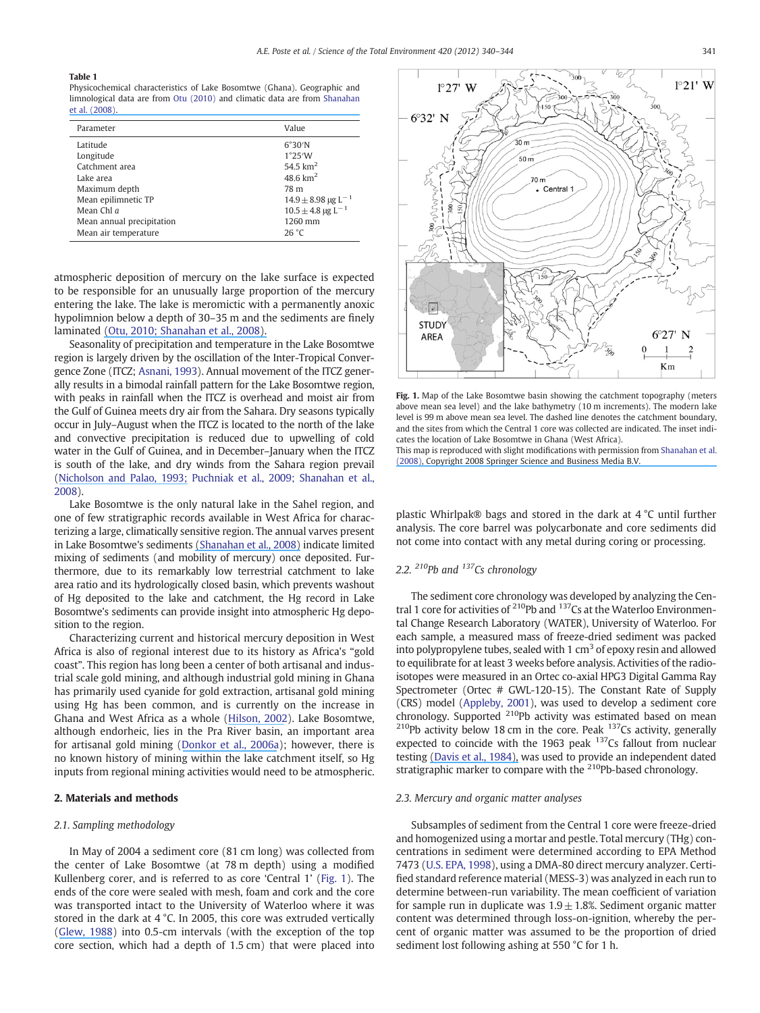#### <span id="page-2-0"></span>Table 1

Physicochemical characteristics of Lake Bosomtwe (Ghana). Geographic and limnological data are from [Otu \(2010\)](#page-5-0) [and climatic data are from](https://www.researchgate.net/publication/225193068_The_formation_of_biogeochemical_laminations_in_Lake_Bosumtwi_Ghana_and_their_usefulness_as_indicators_of_past_environmental_changes?el=1_x_8&enrichId=rgreq-ac2ae31127a2e21ca014b82c3f1b75cb-XXX&enrichSource=Y292ZXJQYWdlOzIyMTgyNDc2MDtBUzoxODAxNDAyODE3MDQ0NDlAMTQxOTk2MDE5ODMyMQ==) [Shanahan](#page-5-0) [et al. \(2008\).](#page-5-0)

| Parameter                 | Value                              |
|---------------------------|------------------------------------|
| Latitude                  | $6^{\circ}30^{\prime}N$            |
| Longitude                 | 1°25'W                             |
| Catchment area            | 54.5 $km2$                         |
| Lake area                 | 48.6 $km2$                         |
| Maximum depth             | 78 m                               |
| Mean epilimnetic TP       | $14.9 \pm 8.98$ µg L <sup>-1</sup> |
| Mean Chl $a$              | $10.5 \pm 4.8$ µg L <sup>-1</sup>  |
| Mean annual precipitation | 1260 mm                            |
| Mean air temperature      | 26 °C                              |

atmospheric deposition of mercury on the lake surface is expected to be responsible for an unusually large proportion of the mercury entering the lake. The lake is meromictic with a permanently anoxic hypolimnion below a depth of 30–35 m and the sediments are finely laminated [\(](https://www.researchgate.net/publication/225193068_The_formation_of_biogeochemical_laminations_in_Lake_Bosumtwi_Ghana_and_their_usefulness_as_indicators_of_past_environmental_changes?el=1_x_8&enrichId=rgreq-ac2ae31127a2e21ca014b82c3f1b75cb-XXX&enrichSource=Y292ZXJQYWdlOzIyMTgyNDc2MDtBUzoxODAxNDAyODE3MDQ0NDlAMTQxOTk2MDE5ODMyMQ==)[Otu,](https://www.researchgate.net/publication/267719572_The_origin_transformation_and_deposition_of_sediments_in_Lake_BosomtweBosumtwi_Ghana_West_Africa?el=1_x_8&enrichId=rgreq-ac2ae31127a2e21ca014b82c3f1b75cb-XXX&enrichSource=Y292ZXJQYWdlOzIyMTgyNDc2MDtBUzoxODAxNDAyODE3MDQ0NDlAMTQxOTk2MDE5ODMyMQ==)[2010](https://www.researchgate.net/publication/267719572_The_origin_transformation_and_deposition_of_sediments_in_Lake_BosomtweBosumtwi_Ghana_West_Africa?el=1_x_8&enrichId=rgreq-ac2ae31127a2e21ca014b82c3f1b75cb-XXX&enrichSource=Y292ZXJQYWdlOzIyMTgyNDc2MDtBUzoxODAxNDAyODE3MDQ0NDlAMTQxOTk2MDE5ODMyMQ==)[;](https://www.researchgate.net/publication/225193068_The_formation_of_biogeochemical_laminations_in_Lake_Bosumtwi_Ghana_and_their_usefulness_as_indicators_of_past_environmental_changes?el=1_x_8&enrichId=rgreq-ac2ae31127a2e21ca014b82c3f1b75cb-XXX&enrichSource=Y292ZXJQYWdlOzIyMTgyNDc2MDtBUzoxODAxNDAyODE3MDQ0NDlAMTQxOTk2MDE5ODMyMQ==)[Shanahan](https://www.researchgate.net/publication/225193068_The_formation_of_biogeochemical_laminations_in_Lake_Bosumtwi_Ghana_and_their_usefulness_as_indicators_of_past_environmental_changes?el=1_x_8&enrichId=rgreq-ac2ae31127a2e21ca014b82c3f1b75cb-XXX&enrichSource=Y292ZXJQYWdlOzIyMTgyNDc2MDtBUzoxODAxNDAyODE3MDQ0NDlAMTQxOTk2MDE5ODMyMQ==)[et](https://www.researchgate.net/publication/225193068_The_formation_of_biogeochemical_laminations_in_Lake_Bosumtwi_Ghana_and_their_usefulness_as_indicators_of_past_environmental_changes?el=1_x_8&enrichId=rgreq-ac2ae31127a2e21ca014b82c3f1b75cb-XXX&enrichSource=Y292ZXJQYWdlOzIyMTgyNDc2MDtBUzoxODAxNDAyODE3MDQ0NDlAMTQxOTk2MDE5ODMyMQ==)[al.,](https://www.researchgate.net/publication/225193068_The_formation_of_biogeochemical_laminations_in_Lake_Bosumtwi_Ghana_and_their_usefulness_as_indicators_of_past_environmental_changes?el=1_x_8&enrichId=rgreq-ac2ae31127a2e21ca014b82c3f1b75cb-XXX&enrichSource=Y292ZXJQYWdlOzIyMTgyNDc2MDtBUzoxODAxNDAyODE3MDQ0NDlAMTQxOTk2MDE5ODMyMQ==)[2008\).](https://www.researchgate.net/publication/225193068_The_formation_of_biogeochemical_laminations_in_Lake_Bosumtwi_Ghana_and_their_usefulness_as_indicators_of_past_environmental_changes?el=1_x_8&enrichId=rgreq-ac2ae31127a2e21ca014b82c3f1b75cb-XXX&enrichSource=Y292ZXJQYWdlOzIyMTgyNDc2MDtBUzoxODAxNDAyODE3MDQ0NDlAMTQxOTk2MDE5ODMyMQ==)

Seasonality of precipitation and temperature in the Lake Bosomtwe region is largely driven by the oscillation of the Inter-Tropical Convergence Zone (ITCZ; [Asnani, 1993](#page-5-0)). Annual movement of the ITCZ generally results in a bimodal rainfall pattern for the Lake Bosomtwe region, with peaks in rainfall when the ITCZ is overhead and moist air from the Gulf of Guinea meets dry air from the Sahara. Dry seasons typically occur in July–August when the ITCZ is located to the north of the lake and convective precipitation is reduced due to upwelling of cold water in the Gulf of Guinea, and in December–January when the ITCZ is south of the lake, and dry winds from the Sahara region prevail [\(Nicholson](https://www.researchgate.net/publication/227768366_A_Re-evaluation_of_rainfall_variability_in_the_Sahel_Part_I_Characteristics_of_rainfall_fluctuations?el=1_x_8&enrichId=rgreq-ac2ae31127a2e21ca014b82c3f1b75cb-XXX&enrichSource=Y292ZXJQYWdlOzIyMTgyNDc2MDtBUzoxODAxNDAyODE3MDQ0NDlAMTQxOTk2MDE5ODMyMQ==)[and](https://www.researchgate.net/publication/227768366_A_Re-evaluation_of_rainfall_variability_in_the_Sahel_Part_I_Characteristics_of_rainfall_fluctuations?el=1_x_8&enrichId=rgreq-ac2ae31127a2e21ca014b82c3f1b75cb-XXX&enrichSource=Y292ZXJQYWdlOzIyMTgyNDc2MDtBUzoxODAxNDAyODE3MDQ0NDlAMTQxOTk2MDE5ODMyMQ==)[Palao,](https://www.researchgate.net/publication/227768366_A_Re-evaluation_of_rainfall_variability_in_the_Sahel_Part_I_Characteristics_of_rainfall_fluctuations?el=1_x_8&enrichId=rgreq-ac2ae31127a2e21ca014b82c3f1b75cb-XXX&enrichSource=Y292ZXJQYWdlOzIyMTgyNDc2MDtBUzoxODAxNDAyODE3MDQ0NDlAMTQxOTk2MDE5ODMyMQ==)[1993](https://www.researchgate.net/publication/227768366_A_Re-evaluation_of_rainfall_variability_in_the_Sahel_Part_I_Characteristics_of_rainfall_fluctuations?el=1_x_8&enrichId=rgreq-ac2ae31127a2e21ca014b82c3f1b75cb-XXX&enrichSource=Y292ZXJQYWdlOzIyMTgyNDc2MDtBUzoxODAxNDAyODE3MDQ0NDlAMTQxOTk2MDE5ODMyMQ==)[; Puchniak et al., 2009; Shanahan et al.,](#page-5-0) [2008](#page-5-0)).

Lake Bosomtwe is the only natural lake in the Sahel region, and one of few stratigraphic records available in West Africa for characterizing a large, climatically sensitive region. The annual varves present in Lake Bosomtwe's sediments [\(S](https://www.researchgate.net/publication/225193068_The_formation_of_biogeochemical_laminations_in_Lake_Bosumtwi_Ghana_and_their_usefulness_as_indicators_of_past_environmental_changes?el=1_x_8&enrichId=rgreq-ac2ae31127a2e21ca014b82c3f1b75cb-XXX&enrichSource=Y292ZXJQYWdlOzIyMTgyNDc2MDtBUzoxODAxNDAyODE3MDQ0NDlAMTQxOTk2MDE5ODMyMQ==)[hanahan et al., 200](#page-5-0)[8\)](https://www.researchgate.net/publication/225193068_The_formation_of_biogeochemical_laminations_in_Lake_Bosumtwi_Ghana_and_their_usefulness_as_indicators_of_past_environmental_changes?el=1_x_8&enrichId=rgreq-ac2ae31127a2e21ca014b82c3f1b75cb-XXX&enrichSource=Y292ZXJQYWdlOzIyMTgyNDc2MDtBUzoxODAxNDAyODE3MDQ0NDlAMTQxOTk2MDE5ODMyMQ==) indicate limited mixing of sediments (and mobility of mercury) once deposited. Furthermore, due to its remarkably low terrestrial catchment to lake area ratio and its hydrologically closed basin, which prevents washout of Hg deposited to the lake and catchment, the Hg record in Lake Bosomtwe's sediments can provide insight into atmospheric Hg deposition to the region.

Characterizing current and historical mercury deposition in West Africa is also of regional interest due to its history as Africa's "gold coast". This region has long been a center of both artisanal and industrial scale gold mining, and although industrial gold mining in Ghana has primarily used cyanide for gold extraction, artisanal gold mining using Hg has been common, and is currently on the increase in Ghana and West Africa as a whole ([Hilson, 2002](#page-5-0)). Lake Bosomtwe, although endorheic, lies in the Pra River basin, an important area for artisanal gold mining [\(Donkor et al., 2006a\)](#page-5-0); however, there is no known history of mining within the lake catchment itself, so Hg inputs from regional mining activities would need to be atmospheric.

#### 2. Materials and methods

#### 2.1. Sampling methodology

In May of 2004 a sediment core (81 cm long) was collected from the center of Lake Bosomtwe (at 78 m depth) using a modified Kullenberg corer, and is referred to as core 'Central 1' (Fig. 1). The ends of the core were sealed with mesh, foam and cork and the core was transported intact to the University of Waterloo where it was stored in the dark at 4 °C. In 2005, this core was extruded vertically [\(Glew, 1988](#page-5-0)) into 0.5-cm intervals (with the exception of the top core section, which had a depth of 1.5 cm) that were placed into



Fig. 1. Map of the Lake Bosomtwe basin showing the catchment topography (meters above mean sea level) and the lake bathymetry (10 m increments). The modern lake level is 99 m above mean sea level. The dashed line denotes the catchment boundary, and the sites from which the Central 1 core was collected are indicated. The inset indicates the location of Lake Bosomtwe in Ghana (West Africa). This map is reproduced with slight modifications with permission from [Shanahan et al.](#page-5-0)

[\(2008\)](#page-5-0)[, Copyright 2008 Springer Science and Business Media B.V.](https://www.researchgate.net/publication/225193068_The_formation_of_biogeochemical_laminations_in_Lake_Bosumtwi_Ghana_and_their_usefulness_as_indicators_of_past_environmental_changes?el=1_x_8&enrichId=rgreq-ac2ae31127a2e21ca014b82c3f1b75cb-XXX&enrichSource=Y292ZXJQYWdlOzIyMTgyNDc2MDtBUzoxODAxNDAyODE3MDQ0NDlAMTQxOTk2MDE5ODMyMQ==)

plastic Whirlpak® bags and stored in the dark at 4 °C until further analysis. The core barrel was polycarbonate and core sediments did not come into contact with any metal during coring or processing.

#### 2.2.  $^{210}Pb$  and  $^{137}Cs$  chronology

The sediment core chronology was developed by analyzing the Central 1 core for activities of <sup>210</sup>Pb and <sup>137</sup>Cs at the Waterloo Environmental Change Research Laboratory (WATER), University of Waterloo. For each sample, a measured mass of freeze-dried sediment was packed into polypropylene tubes, sealed with 1  $\text{cm}^3$  of epoxy resin and allowed to equilibrate for at least 3 weeks before analysis. Activities of the radioisotopes were measured in an Ortec co-axial HPG3 Digital Gamma Ray Spectrometer (Ortec # GWL-120-15). The Constant Rate of Supply (CRS) model [\(Appleby, 2001](#page-5-0)), was used to develop a sediment core chronology. Supported <sup>210</sup>Pb activity was estimated based on mean  $210$ Pb activity below 18 cm in the core. Peak  $137$ Cs activity, generally expected to coincide with the 1963 peak <sup>137</sup>Cs fallout from nuclear testing [\(](https://www.researchgate.net/publication/240403116_137Cs_and_210Pb_dating_of_sediments_from_soft-water_lakes_in_New_England_USA_and_Scandinavia_a_failure_of_137Cs_dating?el=1_x_8&enrichId=rgreq-ac2ae31127a2e21ca014b82c3f1b75cb-XXX&enrichSource=Y292ZXJQYWdlOzIyMTgyNDc2MDtBUzoxODAxNDAyODE3MDQ0NDlAMTQxOTk2MDE5ODMyMQ==)[Davis et al., 198](#page-5-0)[4\),](https://www.researchgate.net/publication/240403116_137Cs_and_210Pb_dating_of_sediments_from_soft-water_lakes_in_New_England_USA_and_Scandinavia_a_failure_of_137Cs_dating?el=1_x_8&enrichId=rgreq-ac2ae31127a2e21ca014b82c3f1b75cb-XXX&enrichSource=Y292ZXJQYWdlOzIyMTgyNDc2MDtBUzoxODAxNDAyODE3MDQ0NDlAMTQxOTk2MDE5ODMyMQ==) was used to provide an independent dated stratigraphic marker to compare with the 210Pb-based chronology.

#### 2.3. Mercury and organic matter analyses

Subsamples of sediment from the Central 1 core were freeze-dried and homogenized using a mortar and pestle. Total mercury (THg) concentrations in sediment were determined according to EPA Method 7473 [\(U.S. EPA, 1998](#page-5-0)), using a DMA-80 direct mercury analyzer. Certified standard reference material (MESS-3) was analyzed in each run to determine between-run variability. The mean coefficient of variation for sample run in duplicate was  $1.9 \pm 1.8$ %. Sediment organic matter content was determined through loss-on-ignition, whereby the percent of organic matter was assumed to be the proportion of dried sediment lost following ashing at 550 °C for 1 h.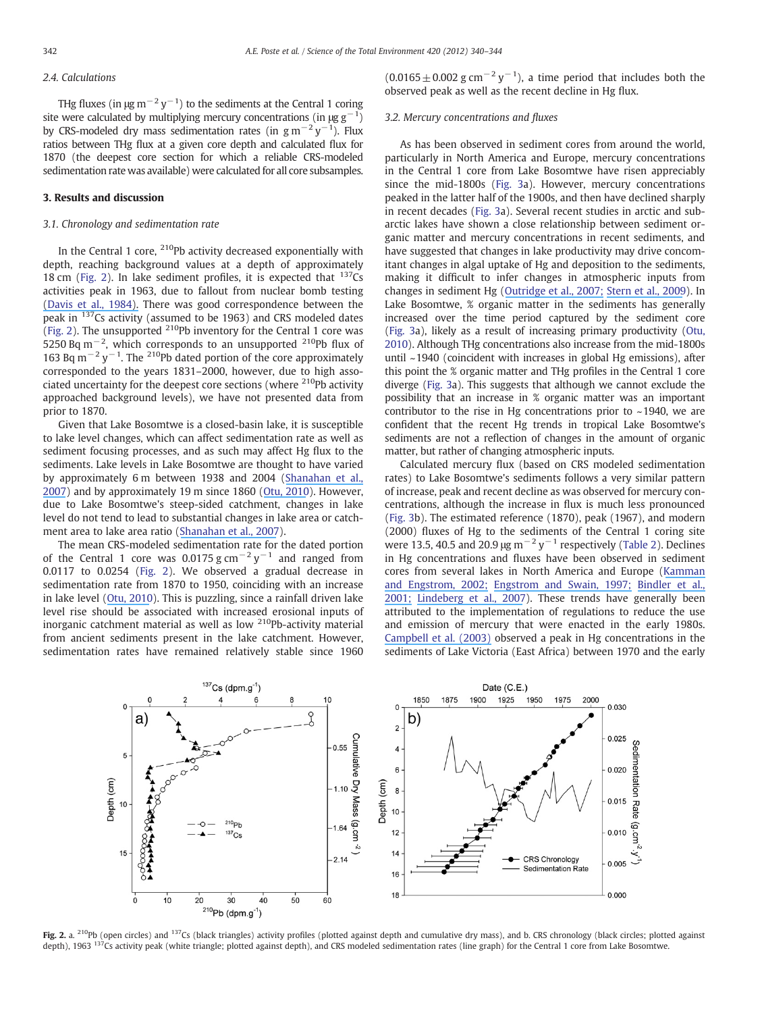#### 2.4. Calculations

THg fluxes (in  $\mu$ g m $^{-2}$  y $^{-1}$ ) to the sediments at the Central 1 coring site were calculated by multiplying mercury concentrations (in  $\mu$ g g<sup>-1</sup>) by CRS-modeled dry mass sedimentation rates (in  $\rm g\,m^{-2}\,y^{-1}$ ). Flux ratios between THg flux at a given core depth and calculated flux for 1870 (the deepest core section for which a reliable CRS-modeled sedimentation rate was available) were calculated for all core subsamples.

#### 3. Results and discussion

#### 3.1. Chronology and sedimentation rate

In the Central 1 core,  $^{210}$ Pb activity decreased exponentially with depth, reaching background values at a depth of approximately 18 cm (Fig. 2). In lake sediment profiles, it is expected that  $137Cs$ activities peak in 1963, due to fallout from nuclear bomb testing [\(](https://www.researchgate.net/publication/240403116_137Cs_and_210Pb_dating_of_sediments_from_soft-water_lakes_in_New_England_USA_and_Scandinavia_a_failure_of_137Cs_dating?el=1_x_8&enrichId=rgreq-ac2ae31127a2e21ca014b82c3f1b75cb-XXX&enrichSource=Y292ZXJQYWdlOzIyMTgyNDc2MDtBUzoxODAxNDAyODE3MDQ0NDlAMTQxOTk2MDE5ODMyMQ==)[Davis et al., 198](#page-5-0)[4\).](https://www.researchgate.net/publication/240403116_137Cs_and_210Pb_dating_of_sediments_from_soft-water_lakes_in_New_England_USA_and_Scandinavia_a_failure_of_137Cs_dating?el=1_x_8&enrichId=rgreq-ac2ae31127a2e21ca014b82c3f1b75cb-XXX&enrichSource=Y292ZXJQYWdlOzIyMTgyNDc2MDtBUzoxODAxNDAyODE3MDQ0NDlAMTQxOTk2MDE5ODMyMQ==) There was good correspondence between the peak in <sup>137</sup>Cs activity (assumed to be 1963) and CRS modeled dates (Fig. 2). The unsupported <sup>210</sup>Pb inventory for the Central 1 core was 5250 Bq m<sup>-2</sup>, which corresponds to an unsupported <sup>210</sup>Pb flux of 163 Bq m<sup>-2</sup> y<sup>-1</sup>. The <sup>210</sup>Pb dated portion of the core approximately corresponded to the years 1831–2000, however, due to high associated uncertainty for the deepest core sections (where <sup>210</sup>Pb activity approached background levels), we have not presented data from prior to 1870.

Given that Lake Bosomtwe is a closed-basin lake, it is susceptible to lake level changes, which can affect sedimentation rate as well as sediment focusing processes, and as such may affect Hg flux to the sediments. Lake levels in Lake Bosomtwe are thought to have varied by approximately 6 m between 1938 and 2004 ([Shanahan et al.,](#page-5-0) [2007\)](#page-5-0) and by approximately 19 m since 1860 ([Otu, 2010](#page-5-0)). However, due to Lake Bosomtwe's steep-sided catchment, changes in lake level do not tend to lead to substantial changes in lake area or catchment area to lake area ratio ([S](#page-5-0)[hanahan](https://www.researchgate.net/publication/227512403_Simulating_the_response_of_a_closed-basin_lake_to_recent_climate_changes_in_tropical_West_Africa_Lake_Bosumtwi_Ghana?el=1_x_8&enrichId=rgreq-ac2ae31127a2e21ca014b82c3f1b75cb-XXX&enrichSource=Y292ZXJQYWdlOzIyMTgyNDc2MDtBUzoxODAxNDAyODE3MDQ0NDlAMTQxOTk2MDE5ODMyMQ==)[et](https://www.researchgate.net/publication/227512403_Simulating_the_response_of_a_closed-basin_lake_to_recent_climate_changes_in_tropical_West_Africa_Lake_Bosumtwi_Ghana?el=1_x_8&enrichId=rgreq-ac2ae31127a2e21ca014b82c3f1b75cb-XXX&enrichSource=Y292ZXJQYWdlOzIyMTgyNDc2MDtBUzoxODAxNDAyODE3MDQ0NDlAMTQxOTk2MDE5ODMyMQ==)[al.,](https://www.researchgate.net/publication/227512403_Simulating_the_response_of_a_closed-basin_lake_to_recent_climate_changes_in_tropical_West_Africa_Lake_Bosumtwi_Ghana?el=1_x_8&enrichId=rgreq-ac2ae31127a2e21ca014b82c3f1b75cb-XXX&enrichSource=Y292ZXJQYWdlOzIyMTgyNDc2MDtBUzoxODAxNDAyODE3MDQ0NDlAMTQxOTk2MDE5ODMyMQ==)[200](https://www.researchgate.net/publication/227512403_Simulating_the_response_of_a_closed-basin_lake_to_recent_climate_changes_in_tropical_West_Africa_Lake_Bosumtwi_Ghana?el=1_x_8&enrichId=rgreq-ac2ae31127a2e21ca014b82c3f1b75cb-XXX&enrichSource=Y292ZXJQYWdlOzIyMTgyNDc2MDtBUzoxODAxNDAyODE3MDQ0NDlAMTQxOTk2MDE5ODMyMQ==)[7\)](#page-5-0).

The mean CRS-modeled sedimentation rate for the dated portion of the Central 1 core was 0.0175 g cm<sup>-2</sup> y<sup>-1</sup> and ranged from 0.0117 to 0.0254 (Fig. 2). We observed a gradual decrease in sedimentation rate from 1870 to 1950, coinciding with an increase in lake level ([Otu, 2010\)](#page-5-0). This is puzzling, since a rainfall driven lake level rise should be associated with increased erosional inputs of inorganic catchment material as well as low  $210Pb$ -activity material from ancient sediments present in the lake catchment. However, sedimentation rates have remained relatively stable since 1960  $(0.0165 \pm 0.002 \text{ g cm}^{-2} \text{ y}^{-1})$ , a time period that includes both the observed peak as well as the recent decline in Hg flux.

#### 3.2. Mercury concentrations and fluxes

As has been observed in sediment cores from around the world, particularly in North America and Europe, mercury concentrations in the Central 1 core from Lake Bosomtwe have risen appreciably since the mid-1800s ([Fig. 3](#page-4-0)a). However, mercury concentrations peaked in the latter half of the 1900s, and then have declined sharply in recent decades ([Fig. 3](#page-4-0)a). Several recent studies in arctic and subarctic lakes have shown a close relationship between sediment organic matter and mercury concentrations in recent sediments, and have suggested that changes in lake productivity may drive concomitant changes in algal uptake of Hg and deposition to the sediments, making it difficult to infer changes in atmospheric inputs from changes in sediment Hg ([Outridge et al., 2007; Stern et al., 2009\)](#page-5-0). In Lake Bosomtwe, % organic matter in the sediments has generally increased over the time period captured by the sediment core [\(Fig. 3](#page-4-0)a), likely as a result of increasing primary productivity [\(Otu,](#page-5-0) [2010\)](#page-5-0). Although THg concentrations also increase from the mid-1800s until ~1940 (coincident with increases in global Hg emissions), after this point the % organic matter and THg profiles in the Central 1 core diverge ([Fig. 3](#page-4-0)a). This suggests that although we cannot exclude the possibility that an increase in % organic matter was an important contributor to the rise in Hg concentrations prior to  $\sim$  1940, we are confident that the recent Hg trends in tropical Lake Bosomtwe's sediments are not a reflection of changes in the amount of organic matter, but rather of changing atmospheric inputs.

Calculated mercury flux (based on CRS modeled sedimentation rates) to Lake Bosomtwe's sediments follows a very similar pattern of increase, peak and recent decline as was observed for mercury concentrations, although the increase in flux is much less pronounced [\(Fig. 3b](#page-4-0)). The estimated reference (1870), peak (1967), and modern (2000) fluxes of Hg to the sediments of the Central 1 coring site were 13.5, 40.5 and 20.9  $\mu$ g m<sup>-2</sup> y<sup>-1</sup> respectively ([Table 2\)](#page-4-0). Declines in Hg concentrations and fluxes have been observed in sediment cores from several lakes in North America and Europe [\(Kamman](#page-5-0) [and](https://www.researchgate.net/publication/248343121_Historical_and_present_fluxes_of_mercury_to_Vermont_and_New_Hampshire_lakes_inferred_from_210Pb_dated_sediment_cores?el=1_x_8&enrichId=rgreq-ac2ae31127a2e21ca014b82c3f1b75cb-XXX&enrichSource=Y292ZXJQYWdlOzIyMTgyNDc2MDtBUzoxODAxNDAyODE3MDQ0NDlAMTQxOTk2MDE5ODMyMQ==)[Engstrom,](https://www.researchgate.net/publication/248343121_Historical_and_present_fluxes_of_mercury_to_Vermont_and_New_Hampshire_lakes_inferred_from_210Pb_dated_sediment_cores?el=1_x_8&enrichId=rgreq-ac2ae31127a2e21ca014b82c3f1b75cb-XXX&enrichSource=Y292ZXJQYWdlOzIyMTgyNDc2MDtBUzoxODAxNDAyODE3MDQ0NDlAMTQxOTk2MDE5ODMyMQ==)[2002;](https://www.researchgate.net/publication/248343121_Historical_and_present_fluxes_of_mercury_to_Vermont_and_New_Hampshire_lakes_inferred_from_210Pb_dated_sediment_cores?el=1_x_8&enrichId=rgreq-ac2ae31127a2e21ca014b82c3f1b75cb-XXX&enrichSource=Y292ZXJQYWdlOzIyMTgyNDc2MDtBUzoxODAxNDAyODE3MDQ0NDlAMTQxOTk2MDE5ODMyMQ==)[Engstrom](https://www.researchgate.net/publication/231290079_Recent_Declines_in_Atmospheric_Mercury_Deposition_in_the_Upper_Midwest?el=1_x_8&enrichId=rgreq-ac2ae31127a2e21ca014b82c3f1b75cb-XXX&enrichSource=Y292ZXJQYWdlOzIyMTgyNDc2MDtBUzoxODAxNDAyODE3MDQ0NDlAMTQxOTk2MDE5ODMyMQ==)[and](https://www.researchgate.net/publication/231290079_Recent_Declines_in_Atmospheric_Mercury_Deposition_in_the_Upper_Midwest?el=1_x_8&enrichId=rgreq-ac2ae31127a2e21ca014b82c3f1b75cb-XXX&enrichSource=Y292ZXJQYWdlOzIyMTgyNDc2MDtBUzoxODAxNDAyODE3MDQ0NDlAMTQxOTk2MDE5ODMyMQ==)[Swain,](https://www.researchgate.net/publication/231290079_Recent_Declines_in_Atmospheric_Mercury_Deposition_in_the_Upper_Midwest?el=1_x_8&enrichId=rgreq-ac2ae31127a2e21ca014b82c3f1b75cb-XXX&enrichSource=Y292ZXJQYWdlOzIyMTgyNDc2MDtBUzoxODAxNDAyODE3MDQ0NDlAMTQxOTk2MDE5ODMyMQ==)[1997;](https://www.researchgate.net/publication/231290079_Recent_Declines_in_Atmospheric_Mercury_Deposition_in_the_Upper_Midwest?el=1_x_8&enrichId=rgreq-ac2ae31127a2e21ca014b82c3f1b75cb-XXX&enrichSource=Y292ZXJQYWdlOzIyMTgyNDc2MDtBUzoxODAxNDAyODE3MDQ0NDlAMTQxOTk2MDE5ODMyMQ==)[Bindler](https://www.researchgate.net/publication/226938589_Temporal_Trends_in_Mercury_Accumulation_in_Lake_Sediments_in_Sweden?el=1_x_8&enrichId=rgreq-ac2ae31127a2e21ca014b82c3f1b75cb-XXX&enrichSource=Y292ZXJQYWdlOzIyMTgyNDc2MDtBUzoxODAxNDAyODE3MDQ0NDlAMTQxOTk2MDE5ODMyMQ==)[et](https://www.researchgate.net/publication/226938589_Temporal_Trends_in_Mercury_Accumulation_in_Lake_Sediments_in_Sweden?el=1_x_8&enrichId=rgreq-ac2ae31127a2e21ca014b82c3f1b75cb-XXX&enrichSource=Y292ZXJQYWdlOzIyMTgyNDc2MDtBUzoxODAxNDAyODE3MDQ0NDlAMTQxOTk2MDE5ODMyMQ==)[al.,](https://www.researchgate.net/publication/226938589_Temporal_Trends_in_Mercury_Accumulation_in_Lake_Sediments_in_Sweden?el=1_x_8&enrichId=rgreq-ac2ae31127a2e21ca014b82c3f1b75cb-XXX&enrichSource=Y292ZXJQYWdlOzIyMTgyNDc2MDtBUzoxODAxNDAyODE3MDQ0NDlAMTQxOTk2MDE5ODMyMQ==) [2001; Lindeberg et al., 2007](#page-5-0)). These trends have generally been attributed to the implementation of regulations to reduce the use and emission of mercury that were enacted in the early 1980s. [Campbell et al. \(2003\)](#page-5-0) observed a peak in Hg concentrations in the sediments of Lake Victoria (East Africa) between 1970 and the early



Fig. 2. a. <sup>210</sup>Pb (open circles) and <sup>137</sup>Cs (black triangles) activity profiles (plotted against depth and cumulative dry mass), and b. CRS chronology (black circles; plotted against depth), 1963 <sup>137</sup>Cs activity peak (white triangle; plotted against depth), and CRS modeled sedimentation rates (line graph) for the Central 1 core from Lake Bosomtwe.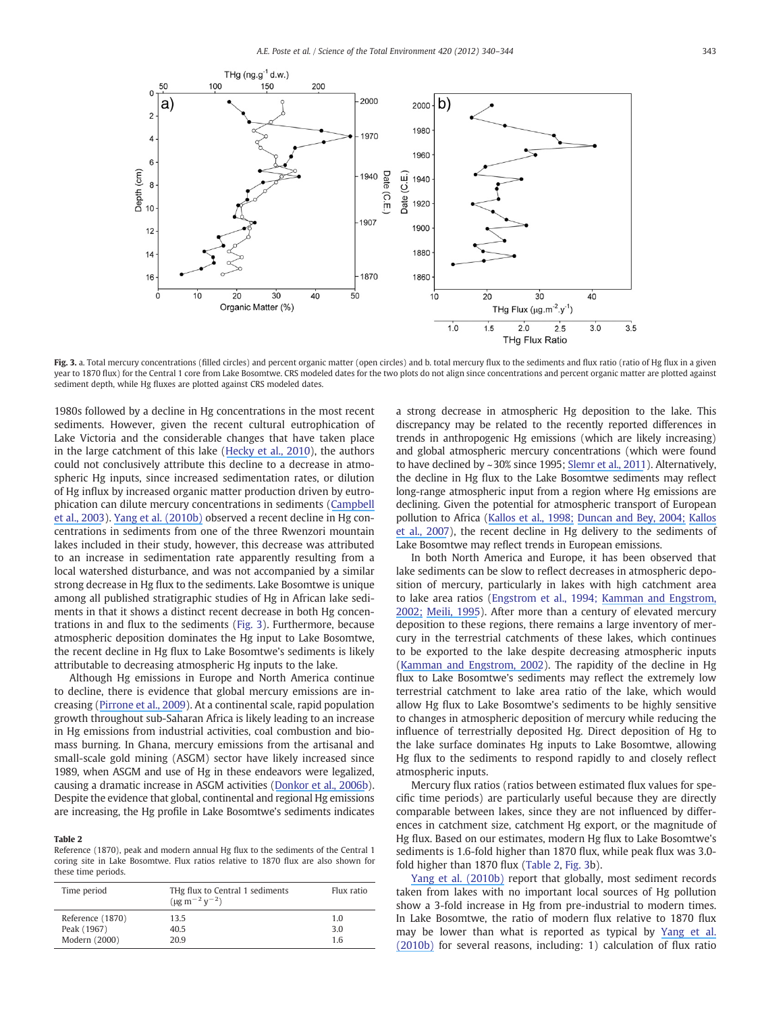<span id="page-4-0"></span>

Fig. 3. a. Total mercury concentrations (filled circles) and percent organic matter (open circles) and b. total mercury flux to the sediments and flux ratio (ratio of Hg flux in a given year to 1870 flux) for the Central 1 core from Lake Bosomtwe. CRS modeled dates for the two plots do not align since concentrations and percent organic matter are plotted against sediment depth, while Hg fluxes are plotted against CRS modeled dates.

1980s followed by a decline in Hg concentrations in the most recent sediments. However, given the recent cultural eutrophication of Lake Victoria and the considerable changes that have taken place in the large catchment of this lake ([Hecky et al., 2010](#page-5-0)), the authors could not conclusively attribute this decline to a decrease in atmospheric Hg inputs, since increased sedimentation rates, or dilution of Hg influx by increased organic matter production driven by eutrophication can dilute mercury concentrations in sediments [\(C](#page-5-0)[ampbell](https://www.researchgate.net/publication/229033081_Variation_and_distribution_of_total_mercury_in_water_sediment_and_soil_from_northern_Lake_Victoria_East_Africa?el=1_x_8&enrichId=rgreq-ac2ae31127a2e21ca014b82c3f1b75cb-XXX&enrichSource=Y292ZXJQYWdlOzIyMTgyNDc2MDtBUzoxODAxNDAyODE3MDQ0NDlAMTQxOTk2MDE5ODMyMQ==) [et al., 2003](#page-5-0)). [Yang et al. \(2010b\)](#page-5-0) observed a recent decline in Hg concentrations in sediments from one of the three Rwenzori mountain lakes included in their study, however, this decrease was attributed to an increase in sedimentation rate apparently resulting from a local watershed disturbance, and was not accompanied by a similar strong decrease in Hg flux to the sediments. Lake Bosomtwe is unique among all published stratigraphic studies of Hg in African lake sediments in that it shows a distinct recent decrease in both Hg concentrations in and flux to the sediments (Fig. 3). Furthermore, because atmospheric deposition dominates the Hg input to Lake Bosomtwe, the recent decline in Hg flux to Lake Bosomtwe's sediments is likely attributable to decreasing atmospheric Hg inputs to the lake.

Although Hg emissions in Europe and North America continue to decline, there is evidence that global mercury emissions are increasing ([Pirrone](https://www.researchgate.net/publication/226231713_Global_Mercury_Emissions_to_the_Atmosphere_from_Natural_and_Anthropogenic_Sources?el=1_x_8&enrichId=rgreq-ac2ae31127a2e21ca014b82c3f1b75cb-XXX&enrichSource=Y292ZXJQYWdlOzIyMTgyNDc2MDtBUzoxODAxNDAyODE3MDQ0NDlAMTQxOTk2MDE5ODMyMQ==)[et](https://www.researchgate.net/publication/226231713_Global_Mercury_Emissions_to_the_Atmosphere_from_Natural_and_Anthropogenic_Sources?el=1_x_8&enrichId=rgreq-ac2ae31127a2e21ca014b82c3f1b75cb-XXX&enrichSource=Y292ZXJQYWdlOzIyMTgyNDc2MDtBUzoxODAxNDAyODE3MDQ0NDlAMTQxOTk2MDE5ODMyMQ==)[al.,](https://www.researchgate.net/publication/226231713_Global_Mercury_Emissions_to_the_Atmosphere_from_Natural_and_Anthropogenic_Sources?el=1_x_8&enrichId=rgreq-ac2ae31127a2e21ca014b82c3f1b75cb-XXX&enrichSource=Y292ZXJQYWdlOzIyMTgyNDc2MDtBUzoxODAxNDAyODE3MDQ0NDlAMTQxOTk2MDE5ODMyMQ==)[200](https://www.researchgate.net/publication/226231713_Global_Mercury_Emissions_to_the_Atmosphere_from_Natural_and_Anthropogenic_Sources?el=1_x_8&enrichId=rgreq-ac2ae31127a2e21ca014b82c3f1b75cb-XXX&enrichSource=Y292ZXJQYWdlOzIyMTgyNDc2MDtBUzoxODAxNDAyODE3MDQ0NDlAMTQxOTk2MDE5ODMyMQ==)[9\)](#page-5-0). At a continental scale, rapid population growth throughout sub-Saharan Africa is likely leading to an increase in Hg emissions from industrial activities, coal combustion and biomass burning. In Ghana, mercury emissions from the artisanal and small-scale gold mining (ASGM) sector have likely increased since 1989, when ASGM and use of Hg in these endeavors were legalized, causing a dramatic increase in ASGM activities [\(Donkor et al., 2006b](#page-5-0)). Despite the evidence that global, continental and regional Hg emissions are increasing, the Hg profile in Lake Bosomtwe's sediments indicates

#### Table 2

Reference (1870), peak and modern annual Hg flux to the sediments of the Central 1 coring site in Lake Bosomtwe. Flux ratios relative to 1870 flux are also shown for these time periods.

| Time period      | THg flux to Central 1 sediments<br>$(\mu g \, m^{-2} \, y^{-2})$ | Flux ratio |
|------------------|------------------------------------------------------------------|------------|
| Reference (1870) | 13.5                                                             | 1.0        |
| Peak (1967)      | 40.5                                                             | 3.0        |
| Modern (2000)    | 20.9                                                             | 16         |

a strong decrease in atmospheric Hg deposition to the lake. This discrepancy may be related to the recently reported differences in trends in anthropogenic Hg emissions (which are likely increasing) and global atmospheric mercury concentrations (which were found to have declined by ~30% since 1995; [Slemr et al., 2011\)](#page-5-0). Alternatively, the decline in Hg flux to the Lake Bosomtwe sediments may reflect long-range atmospheric input from a region where Hg emissions are declining. Given the potential for atmospheric transport of European pollution to Africa ([Kallos et al., 1998; Duncan and Bey, 2004; Kallo](#page-5-0)[s](https://www.researchgate.net/publication/251316836_Long-Range_Transport_of_Anthropogenically_and_Naturally_Produced_Particulate_Matter_in_the_Mediterranean_and_North_Atlantic_Current_State_of_Knowledge?el=1_x_8&enrichId=rgreq-ac2ae31127a2e21ca014b82c3f1b75cb-XXX&enrichSource=Y292ZXJQYWdlOzIyMTgyNDc2MDtBUzoxODAxNDAyODE3MDQ0NDlAMTQxOTk2MDE5ODMyMQ==) [et](https://www.researchgate.net/publication/251316836_Long-Range_Transport_of_Anthropogenically_and_Naturally_Produced_Particulate_Matter_in_the_Mediterranean_and_North_Atlantic_Current_State_of_Knowledge?el=1_x_8&enrichId=rgreq-ac2ae31127a2e21ca014b82c3f1b75cb-XXX&enrichSource=Y292ZXJQYWdlOzIyMTgyNDc2MDtBUzoxODAxNDAyODE3MDQ0NDlAMTQxOTk2MDE5ODMyMQ==)[al.,](https://www.researchgate.net/publication/251316836_Long-Range_Transport_of_Anthropogenically_and_Naturally_Produced_Particulate_Matter_in_the_Mediterranean_and_North_Atlantic_Current_State_of_Knowledge?el=1_x_8&enrichId=rgreq-ac2ae31127a2e21ca014b82c3f1b75cb-XXX&enrichSource=Y292ZXJQYWdlOzIyMTgyNDc2MDtBUzoxODAxNDAyODE3MDQ0NDlAMTQxOTk2MDE5ODMyMQ==)[200](https://www.researchgate.net/publication/251316836_Long-Range_Transport_of_Anthropogenically_and_Naturally_Produced_Particulate_Matter_in_the_Mediterranean_and_North_Atlantic_Current_State_of_Knowledge?el=1_x_8&enrichId=rgreq-ac2ae31127a2e21ca014b82c3f1b75cb-XXX&enrichSource=Y292ZXJQYWdlOzIyMTgyNDc2MDtBUzoxODAxNDAyODE3MDQ0NDlAMTQxOTk2MDE5ODMyMQ==)[7](#page-5-0)), the recent decline in Hg delivery to the sediments of Lake Bosomtwe may reflect trends in European emissions.

In both North America and Europe, it has been observed that lake sediments can be slow to reflect decreases in atmospheric deposition of mercury, particularly in lakes with high catchment area to lake area ratios ([Engstrom et al., 1994; Kamman and Engstrom,](#page-5-0) [2](https://www.researchgate.net/publication/248343121_Historical_and_present_fluxes_of_mercury_to_Vermont_and_New_Hampshire_lakes_inferred_from_210Pb_dated_sediment_cores?el=1_x_8&enrichId=rgreq-ac2ae31127a2e21ca014b82c3f1b75cb-XXX&enrichSource=Y292ZXJQYWdlOzIyMTgyNDc2MDtBUzoxODAxNDAyODE3MDQ0NDlAMTQxOTk2MDE5ODMyMQ==)[002; Meili, 1995](#page-5-0)). After more than a century of elevated mercury deposition to these regions, there remains a large inventory of mercury in the terrestrial catchments of these lakes, which continues to be exported to the lake despite decreasing atmospheric inputs [\(Kamman and Engstrom, 2002](#page-5-0)). The rapidity of the decline in Hg flux to Lake Bosomtwe's sediments may reflect the extremely low terrestrial catchment to lake area ratio of the lake, which would allow Hg flux to Lake Bosomtwe's sediments to be highly sensitive to changes in atmospheric deposition of mercury while reducing the influence of terrestrially deposited Hg. Direct deposition of Hg to the lake surface dominates Hg inputs to Lake Bosomtwe, allowing Hg flux to the sediments to respond rapidly to and closely reflect atmospheric inputs.

Mercury flux ratios (ratios between estimated flux values for specific time periods) are particularly useful because they are directly comparable between lakes, since they are not influenced by differences in catchment size, catchment Hg export, or the magnitude of Hg flux. Based on our estimates, modern Hg flux to Lake Bosomtwe's sediments is 1.6-fold higher than 1870 flux, while peak flux was 3.0 fold higher than 1870 flux (Table 2, Fig. 3b).

[Yang](https://www.researchgate.net/publication/45493045_Recent_Changes_in_Atmospheric_Mercury_Deposition_Recorded_in_the_Sediments_of_Remote_Equatorial_Lakes_in_the_Rwenzori_Mountains_Uganda?el=1_x_8&enrichId=rgreq-ac2ae31127a2e21ca014b82c3f1b75cb-XXX&enrichSource=Y292ZXJQYWdlOzIyMTgyNDc2MDtBUzoxODAxNDAyODE3MDQ0NDlAMTQxOTk2MDE5ODMyMQ==)[et](https://www.researchgate.net/publication/45493045_Recent_Changes_in_Atmospheric_Mercury_Deposition_Recorded_in_the_Sediments_of_Remote_Equatorial_Lakes_in_the_Rwenzori_Mountains_Uganda?el=1_x_8&enrichId=rgreq-ac2ae31127a2e21ca014b82c3f1b75cb-XXX&enrichSource=Y292ZXJQYWdlOzIyMTgyNDc2MDtBUzoxODAxNDAyODE3MDQ0NDlAMTQxOTk2MDE5ODMyMQ==)[al.](https://www.researchgate.net/publication/45493045_Recent_Changes_in_Atmospheric_Mercury_Deposition_Recorded_in_the_Sediments_of_Remote_Equatorial_Lakes_in_the_Rwenzori_Mountains_Uganda?el=1_x_8&enrichId=rgreq-ac2ae31127a2e21ca014b82c3f1b75cb-XXX&enrichSource=Y292ZXJQYWdlOzIyMTgyNDc2MDtBUzoxODAxNDAyODE3MDQ0NDlAMTQxOTk2MDE5ODMyMQ==)[\(2010b\)](https://www.researchgate.net/publication/45493045_Recent_Changes_in_Atmospheric_Mercury_Deposition_Recorded_in_the_Sediments_of_Remote_Equatorial_Lakes_in_the_Rwenzori_Mountains_Uganda?el=1_x_8&enrichId=rgreq-ac2ae31127a2e21ca014b82c3f1b75cb-XXX&enrichSource=Y292ZXJQYWdlOzIyMTgyNDc2MDtBUzoxODAxNDAyODE3MDQ0NDlAMTQxOTk2MDE5ODMyMQ==) report that globally, most sediment records taken from lakes with no important local sources of Hg pollution show a 3-fold increase in Hg from pre-industrial to modern times. In Lake Bosomtwe, the ratio of modern flux relative to 1870 flux may be lower than what is reported as typical by [Yang et al.](#page-5-0) [\(2010b\)](#page-5-0) for several reasons, including: 1) calculation of flux ratio